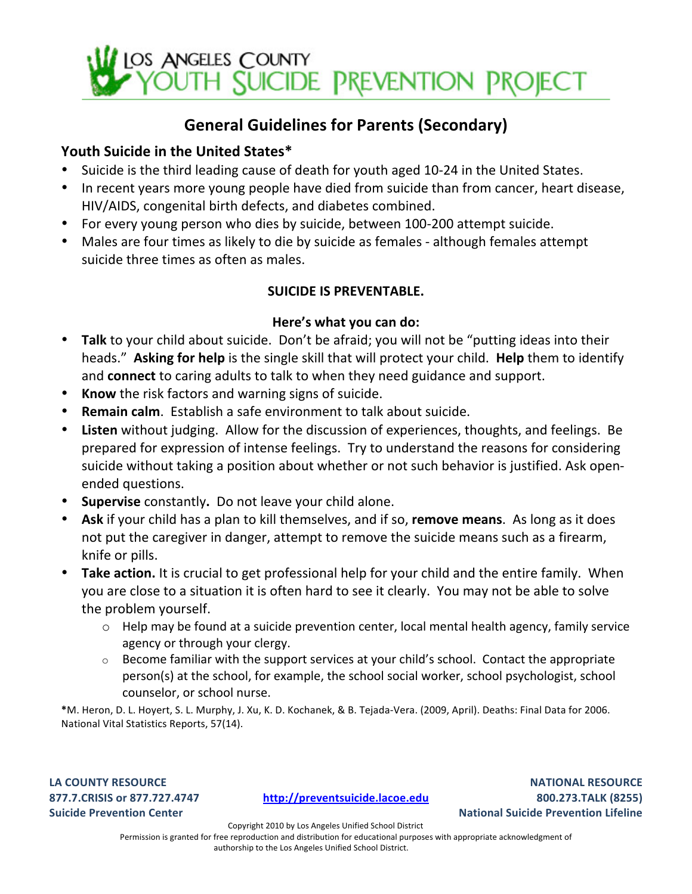

### General Guidelines for Parents (Secondary)

### Youth Suicide in the United States\*

- Suicide is the third leading cause of death for youth aged 10-24 in the United States.
- In recent years more young people have died from suicide than from cancer, heart disease, HIV/AIDS, congenital birth defects, and diabetes combined.
- For every young person who dies by suicide, between 100-200 attempt suicide.
- Males are four times as likely to die by suicide as females although females attempt suicide three times as often as males.

### **SUICIDE IS PREVENTABLE.**

#### Here's what you can do:

- **Talk** to your child about suicide. Don't be afraid; you will not be "putting ideas into their heads." Asking for help is the single skill that will protect your child. Help them to identify and **connect** to caring adults to talk to when they need guidance and support.
- Know the risk factors and warning signs of suicide.
- **Remain calm.** Establish a safe environment to talk about suicide.
- **Listen** without judging. Allow for the discussion of experiences, thoughts, and feelings. Be prepared for expression of intense feelings. Try to understand the reasons for considering suicide without taking a position about whether or not such behavior is justified. Ask openended questions.
- Supervise constantly. Do not leave your child alone.
- Ask if your child has a plan to kill themselves, and if so, remove means. As long as it does not put the caregiver in danger, attempt to remove the suicide means such as a firearm, knife or pills.
- **Take action.** It is crucial to get professional help for your child and the entire family. When you are close to a situation it is often hard to see it clearly. You may not be able to solve the problem yourself.
	- $\circ$  Help may be found at a suicide prevention center, local mental health agency, family service agency or through your clergy.
	- $\circ$  Become familiar with the support services at your child's school. Contact the appropriate person(s) at the school, for example, the school social worker, school psychologist, school counselor, or school nurse.

\*M. Heron, D. L. Hoyert, S. L. Murphy, J. Xu, K. D. Kochanek, & B. Tejada-Vera. (2009, April). Deaths: Final Data for 2006. National Vital Statistics Reports, 57(14).

LA COUNTY RESOURCE **877.7.CRISIS'or'877.727.4747 Suicide Prevention Center** 

**http://preventsuicide.lacoe.edu**

**NATIONAL'RESOURCE 800.273.TALK'(8255) National Suicide Prevention Lifeline** 

Copyright 2010 by Los Angeles Unified School District

Permission is granted for free reproduction and distribution for educational purposes with appropriate acknowledgment of authorship to the Los Angeles Unified School District.